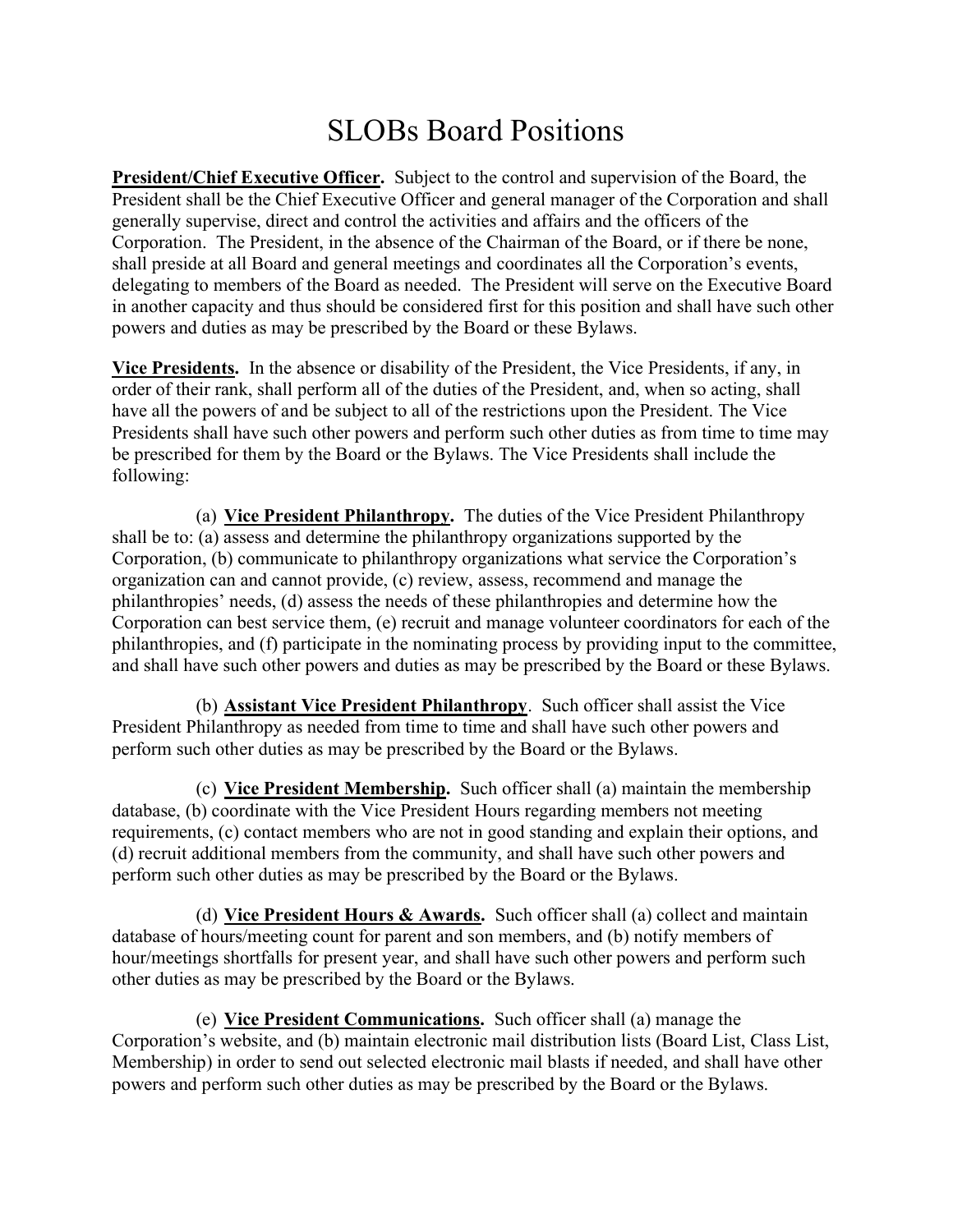## SLOBs Board Positions

President/Chief Executive Officer. Subject to the control and supervision of the Board, the President shall be the Chief Executive Officer and general manager of the Corporation and shall generally supervise, direct and control the activities and affairs and the officers of the Corporation. The President, in the absence of the Chairman of the Board, or if there be none, shall preside at all Board and general meetings and coordinates all the Corporation's events, delegating to members of the Board as needed. The President will serve on the Executive Board in another capacity and thus should be considered first for this position and shall have such other powers and duties as may be prescribed by the Board or these Bylaws.

Vice Presidents. In the absence or disability of the President, the Vice Presidents, if any, in order of their rank, shall perform all of the duties of the President, and, when so acting, shall have all the powers of and be subject to all of the restrictions upon the President. The Vice Presidents shall have such other powers and perform such other duties as from time to time may be prescribed for them by the Board or the Bylaws. The Vice Presidents shall include the following:

(a) Vice President Philanthropy. The duties of the Vice President Philanthropy shall be to: (a) assess and determine the philanthropy organizations supported by the Corporation, (b) communicate to philanthropy organizations what service the Corporation's organization can and cannot provide, (c) review, assess, recommend and manage the philanthropies' needs, (d) assess the needs of these philanthropies and determine how the Corporation can best service them, (e) recruit and manage volunteer coordinators for each of the philanthropies, and (f) participate in the nominating process by providing input to the committee, and shall have such other powers and duties as may be prescribed by the Board or these Bylaws.

(b) Assistant Vice President Philanthropy. Such officer shall assist the Vice President Philanthropy as needed from time to time and shall have such other powers and perform such other duties as may be prescribed by the Board or the Bylaws.

(c) Vice President Membership. Such officer shall (a) maintain the membership database, (b) coordinate with the Vice President Hours regarding members not meeting requirements, (c) contact members who are not in good standing and explain their options, and (d) recruit additional members from the community, and shall have such other powers and perform such other duties as may be prescribed by the Board or the Bylaws.

(d) Vice President Hours  $&$  Awards. Such officer shall (a) collect and maintain database of hours/meeting count for parent and son members, and (b) notify members of hour/meetings shortfalls for present year, and shall have such other powers and perform such other duties as may be prescribed by the Board or the Bylaws.

(e) Vice President Communications. Such officer shall (a) manage the Corporation's website, and (b) maintain electronic mail distribution lists (Board List, Class List, Membership) in order to send out selected electronic mail blasts if needed, and shall have other powers and perform such other duties as may be prescribed by the Board or the Bylaws.